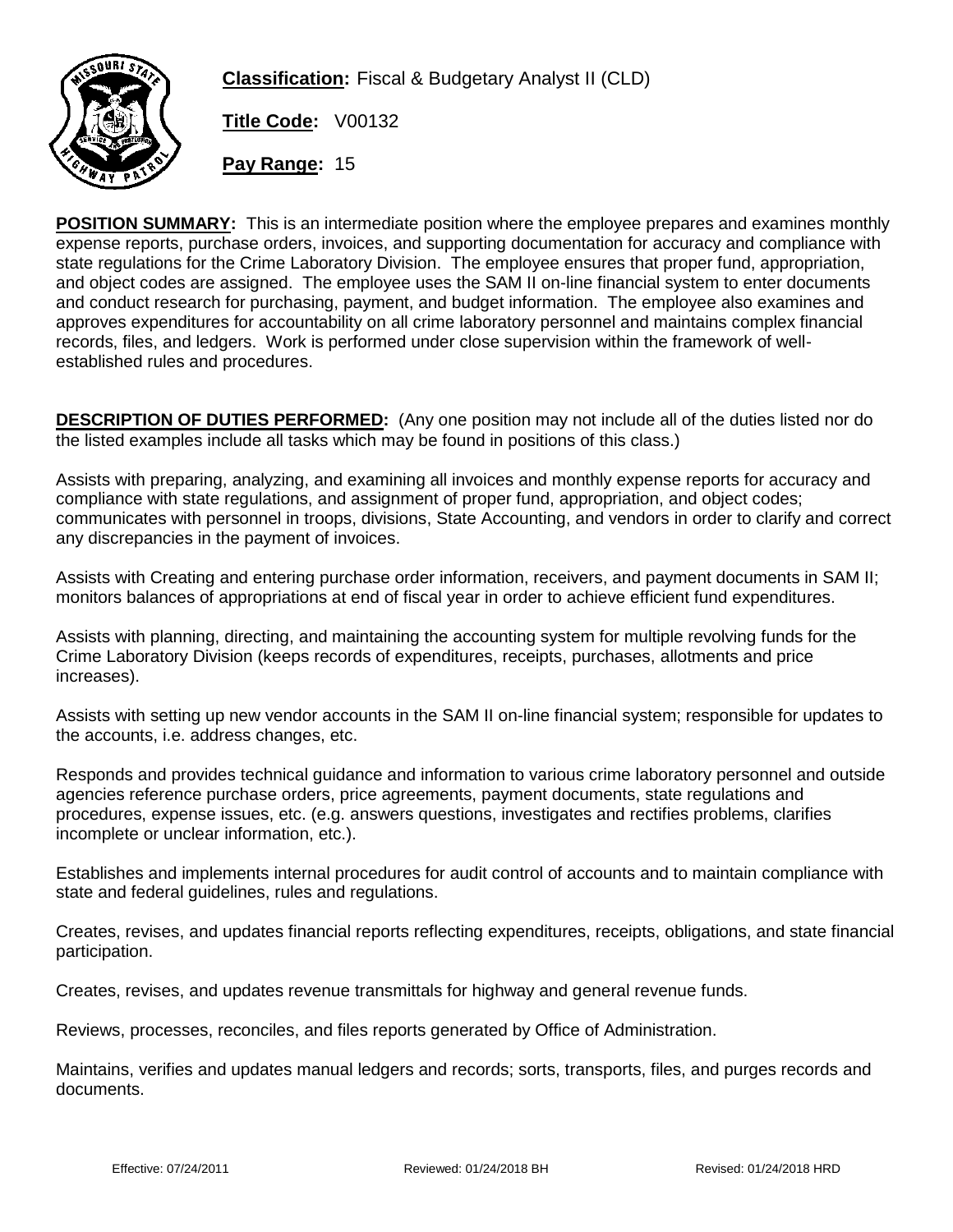

**Classification:** Fiscal & Budgetary Analyst II (CLD)

**Title Code:** V00132

**Pay Range:** 15

**POSITION SUMMARY:** This is an intermediate position where the employee prepares and examines monthly expense reports, purchase orders, invoices, and supporting documentation for accuracy and compliance with state regulations for the Crime Laboratory Division. The employee ensures that proper fund, appropriation, and object codes are assigned. The employee uses the SAM II on-line financial system to enter documents and conduct research for purchasing, payment, and budget information. The employee also examines and approves expenditures for accountability on all crime laboratory personnel and maintains complex financial records, files, and ledgers. Work is performed under close supervision within the framework of wellestablished rules and procedures.

**DESCRIPTION OF DUTIES PERFORMED:** (Any one position may not include all of the duties listed nor do the listed examples include all tasks which may be found in positions of this class.)

Assists with preparing, analyzing, and examining all invoices and monthly expense reports for accuracy and compliance with state regulations, and assignment of proper fund, appropriation, and object codes; communicates with personnel in troops, divisions, State Accounting, and vendors in order to clarify and correct any discrepancies in the payment of invoices.

Assists with Creating and entering purchase order information, receivers, and payment documents in SAM II; monitors balances of appropriations at end of fiscal year in order to achieve efficient fund expenditures.

Assists with planning, directing, and maintaining the accounting system for multiple revolving funds for the Crime Laboratory Division (keeps records of expenditures, receipts, purchases, allotments and price increases).

Assists with setting up new vendor accounts in the SAM II on-line financial system; responsible for updates to the accounts, i.e. address changes, etc.

Responds and provides technical guidance and information to various crime laboratory personnel and outside agencies reference purchase orders, price agreements, payment documents, state regulations and procedures, expense issues, etc. (e.g. answers questions, investigates and rectifies problems, clarifies incomplete or unclear information, etc.).

Establishes and implements internal procedures for audit control of accounts and to maintain compliance with state and federal guidelines, rules and regulations.

Creates, revises, and updates financial reports reflecting expenditures, receipts, obligations, and state financial participation.

Creates, revises, and updates revenue transmittals for highway and general revenue funds.

Reviews, processes, reconciles, and files reports generated by Office of Administration.

Maintains, verifies and updates manual ledgers and records; sorts, transports, files, and purges records and documents.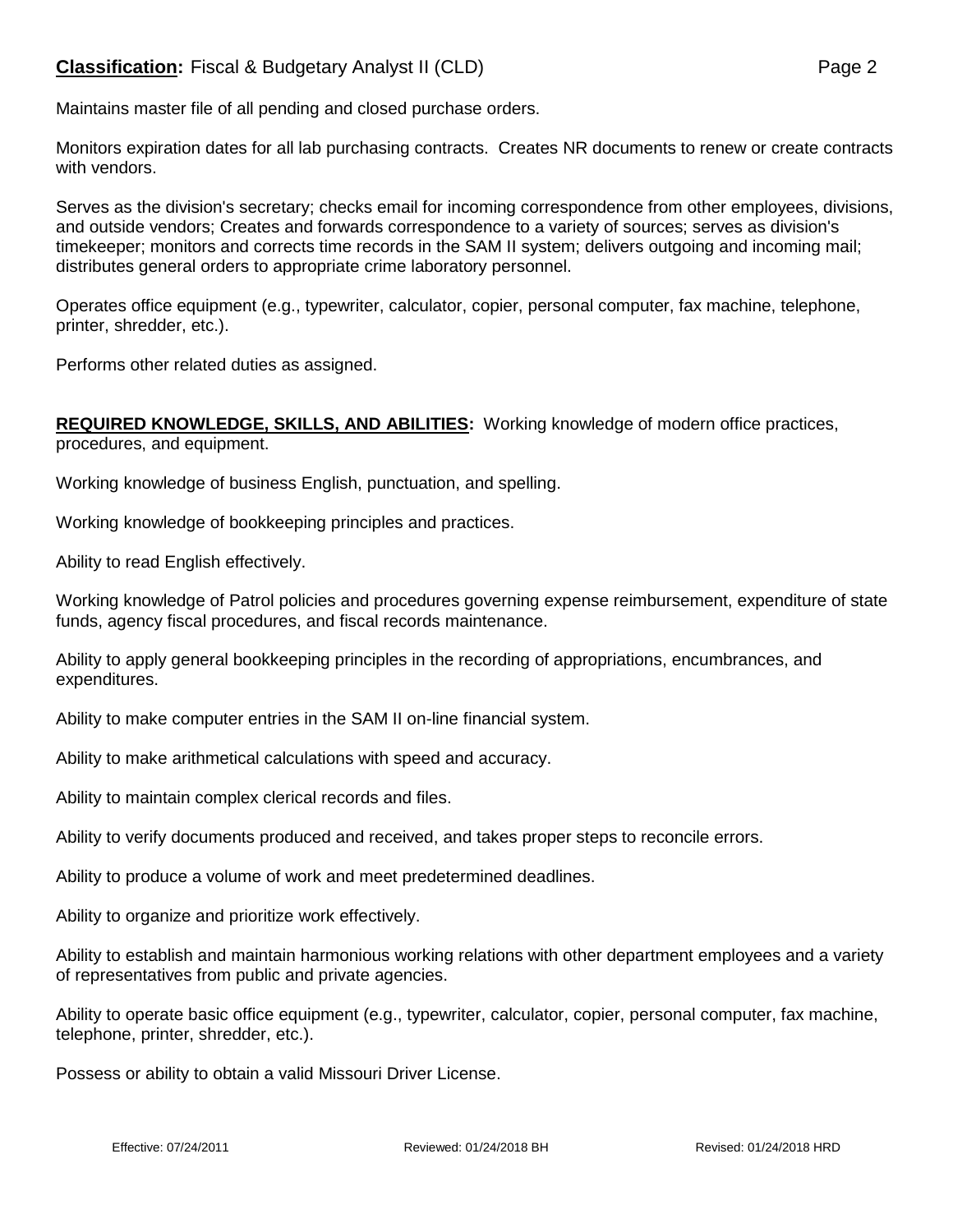## **Classification:** Fiscal & Budgetary Analyst II (CLD) **Page 2** Page 2

Maintains master file of all pending and closed purchase orders.

Monitors expiration dates for all lab purchasing contracts. Creates NR documents to renew or create contracts with vendors.

Serves as the division's secretary; checks email for incoming correspondence from other employees, divisions, and outside vendors; Creates and forwards correspondence to a variety of sources; serves as division's timekeeper; monitors and corrects time records in the SAM II system; delivers outgoing and incoming mail; distributes general orders to appropriate crime laboratory personnel.

Operates office equipment (e.g., typewriter, calculator, copier, personal computer, fax machine, telephone, printer, shredder, etc.).

Performs other related duties as assigned.

## **REQUIRED KNOWLEDGE, SKILLS, AND ABILITIES:** Working knowledge of modern office practices, procedures, and equipment.

Working knowledge of business English, punctuation, and spelling.

Working knowledge of bookkeeping principles and practices.

Ability to read English effectively.

Working knowledge of Patrol policies and procedures governing expense reimbursement, expenditure of state funds, agency fiscal procedures, and fiscal records maintenance.

Ability to apply general bookkeeping principles in the recording of appropriations, encumbrances, and expenditures.

Ability to make computer entries in the SAM II on-line financial system.

Ability to make arithmetical calculations with speed and accuracy.

Ability to maintain complex clerical records and files.

Ability to verify documents produced and received, and takes proper steps to reconcile errors.

Ability to produce a volume of work and meet predetermined deadlines.

Ability to organize and prioritize work effectively.

Ability to establish and maintain harmonious working relations with other department employees and a variety of representatives from public and private agencies.

Ability to operate basic office equipment (e.g., typewriter, calculator, copier, personal computer, fax machine, telephone, printer, shredder, etc.).

Possess or ability to obtain a valid Missouri Driver License.